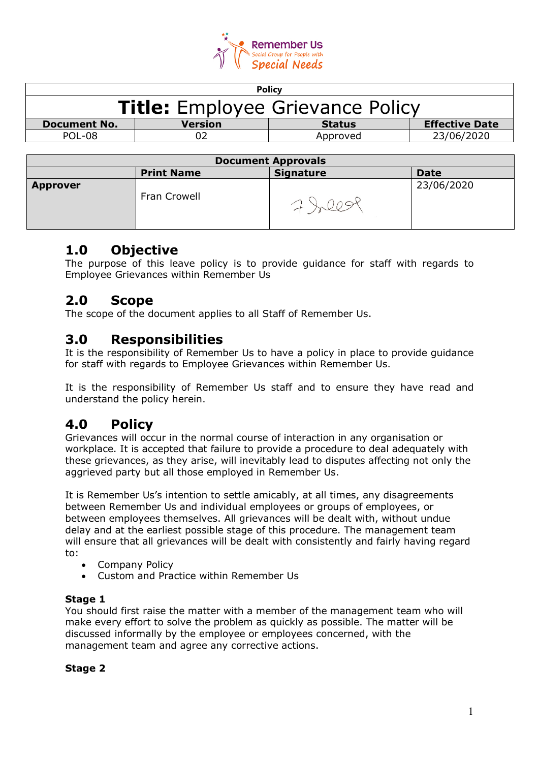

| <b>Policy</b>                           |                |               |                       |  |
|-----------------------------------------|----------------|---------------|-----------------------|--|
| <b>Title:</b> Employee Grievance Policy |                |               |                       |  |
| <b>Document No.</b>                     | <b>Version</b> | <b>Status</b> | <b>Effective Date</b> |  |
| POL-08                                  |                | Approved      | 23/06/2020            |  |
|                                         |                |               |                       |  |

| <b>Document Approvals</b> |                   |                  |             |  |
|---------------------------|-------------------|------------------|-------------|--|
|                           | <b>Print Name</b> | <b>Signature</b> | <b>Date</b> |  |
| <b>Approver</b>           | Fran Crowell      |                  | 23/06/2020  |  |

## **1.0 Objective**

The purpose of this leave policy is to provide guidance for staff with regards to Employee Grievances within Remember Us

# **2.0 Scope**

The scope of the document applies to all Staff of Remember Us.

## **3.0 Responsibilities**

It is the responsibility of Remember Us to have a policy in place to provide guidance for staff with regards to Employee Grievances within Remember Us.

It is the responsibility of Remember Us staff and to ensure they have read and understand the policy herein.

## **4.0 Policy**

Grievances will occur in the normal course of interaction in any organisation or workplace. It is accepted that failure to provide a procedure to deal adequately with these grievances, as they arise, will inevitably lead to disputes affecting not only the aggrieved party but all those employed in Remember Us.

It is Remember Us's intention to settle amicably, at all times, any disagreements between Remember Us and individual employees or groups of employees, or between employees themselves. All grievances will be dealt with, without undue delay and at the earliest possible stage of this procedure. The management team will ensure that all grievances will be dealt with consistently and fairly having regard to:

- Company Policy
- Custom and Practice within Remember Us

#### **Stage 1**

You should first raise the matter with a member of the management team who will make every effort to solve the problem as quickly as possible. The matter will be discussed informally by the employee or employees concerned, with the management team and agree any corrective actions.

#### **Stage 2**